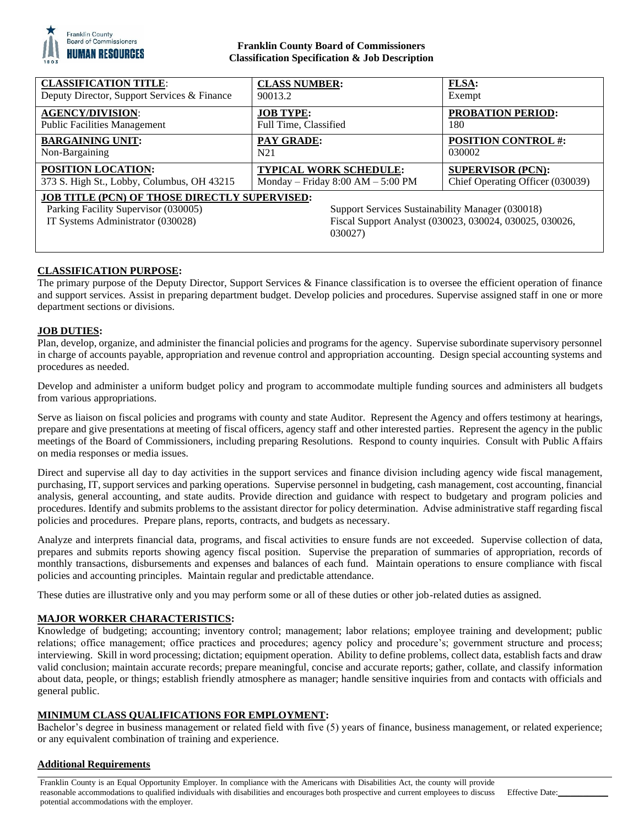

## **Franklin County Board of Commissioners Classification Specification & Job Description**

| <b>CLASSIFICATION TITLE:</b>                                                                                                                                                                                                                                | <b>CLASS NUMBER:</b>                | <b>FLSA:</b>                     |
|-------------------------------------------------------------------------------------------------------------------------------------------------------------------------------------------------------------------------------------------------------------|-------------------------------------|----------------------------------|
| Deputy Director, Support Services & Finance                                                                                                                                                                                                                 | 90013.2                             | Exempt                           |
| <b>AGENCY/DIVISION:</b>                                                                                                                                                                                                                                     | <b>JOB TYPE:</b>                    | <b>PROBATION PERIOD:</b>         |
| <b>Public Facilities Management</b>                                                                                                                                                                                                                         | Full Time, Classified               | 180                              |
| <b>BARGAINING UNIT:</b>                                                                                                                                                                                                                                     | <b>PAY GRADE:</b>                   | <b>POSITION CONTROL #:</b>       |
| Non-Bargaining                                                                                                                                                                                                                                              | N <sub>21</sub>                     | 030002                           |
| <b>POSITION LOCATION:</b>                                                                                                                                                                                                                                   | <b>TYPICAL WORK SCHEDULE:</b>       | <b>SUPERVISOR (PCN):</b>         |
| 373 S. High St., Lobby, Columbus, OH 43215                                                                                                                                                                                                                  | Monday – Friday $8:00 AM - 5:00 PM$ | Chief Operating Officer (030039) |
| <b>JOB TITLE (PCN) OF THOSE DIRECTLY SUPERVISED:</b><br>Parking Facility Supervisor (030005)<br>Support Services Sustainability Manager (030018)<br>IT Systems Administrator (030028)<br>Fiscal Support Analyst (030023, 030024, 030025, 030026,<br>030027) |                                     |                                  |

## **CLASSIFICATION PURPOSE:**

The primary purpose of the Deputy Director, Support Services & Finance classification is to oversee the efficient operation of finance and support services. Assist in preparing department budget. Develop policies and procedures. Supervise assigned staff in one or more department sections or divisions.

### **JOB DUTIES:**

Plan, develop, organize, and administer the financial policies and programs for the agency. Supervise subordinate supervisory personnel in charge of accounts payable, appropriation and revenue control and appropriation accounting. Design special accounting systems and procedures as needed.

Develop and administer a uniform budget policy and program to accommodate multiple funding sources and administers all budgets from various appropriations.

Serve as liaison on fiscal policies and programs with county and state Auditor. Represent the Agency and offers testimony at hearings, prepare and give presentations at meeting of fiscal officers, agency staff and other interested parties. Represent the agency in the public meetings of the Board of Commissioners, including preparing Resolutions. Respond to county inquiries. Consult with Public Affairs on media responses or media issues.

Direct and supervise all day to day activities in the support services and finance division including agency wide fiscal management, purchasing, IT, support services and parking operations. Supervise personnel in budgeting, cash management, cost accounting, financial analysis, general accounting, and state audits. Provide direction and guidance with respect to budgetary and program policies and procedures. Identify and submits problems to the assistant director for policy determination. Advise administrative staff regarding fiscal policies and procedures. Prepare plans, reports, contracts, and budgets as necessary.

Analyze and interprets financial data, programs, and fiscal activities to ensure funds are not exceeded. Supervise collection of data, prepares and submits reports showing agency fiscal position. Supervise the preparation of summaries of appropriation, records of monthly transactions, disbursements and expenses and balances of each fund. Maintain operations to ensure compliance with fiscal policies and accounting principles. Maintain regular and predictable attendance.

These duties are illustrative only and you may perform some or all of these duties or other job-related duties as assigned.

### **MAJOR WORKER CHARACTERISTICS:**

Knowledge of budgeting; accounting; inventory control; management; labor relations; employee training and development; public relations; office management; office practices and procedures; agency policy and procedure's; government structure and process; interviewing. Skill in word processing; dictation; equipment operation. Ability to define problems, collect data, establish facts and draw valid conclusion; maintain accurate records; prepare meaningful, concise and accurate reports; gather, collate, and classify information about data, people, or things; establish friendly atmosphere as manager; handle sensitive inquiries from and contacts with officials and general public.

### **MINIMUM CLASS QUALIFICATIONS FOR EMPLOYMENT:**

Bachelor's degree in business management or related field with five (5) years of finance, business management, or related experience; or any equivalent combination of training and experience.

### **Additional Requirements**

Franklin County is an Equal Opportunity Employer. In compliance with the Americans with Disabilities Act, the county will provide reasonable accommodations to qualified individuals with disabilities and encourages both prospective and current employees to discuss potential accommodations with the employer. Effective Date: